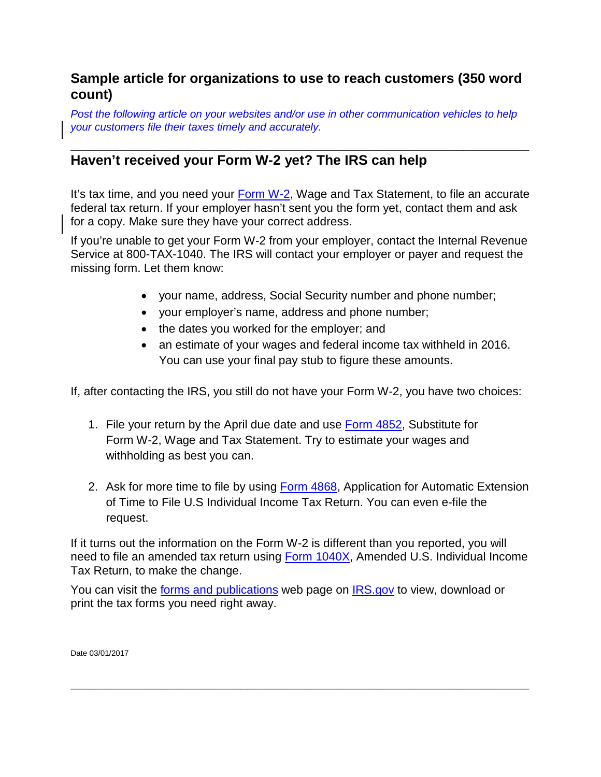## **Sample article for organizations to use to reach customers (350 word count)**

*Post the following article on your websites and/or use in other communication vehicles to help your customers file their taxes timely and accurately.*

## **\_\_\_\_\_\_\_\_\_\_\_\_\_\_\_\_\_\_\_\_\_\_\_\_\_\_\_\_\_\_\_\_\_\_\_\_\_\_\_\_\_\_\_\_\_\_\_\_\_\_\_\_\_\_\_\_\_\_\_\_\_\_\_\_\_\_\_\_\_\_ Haven't received your Form W-2 yet? The IRS can help**

It's tax time, and you need your [Form W-2,](https://www.irs.gov/uac/About-Form-W2) Wage and Tax Statement, to file an accurate federal tax return. If your employer hasn't sent you the form yet, contact them and ask for a copy. Make sure they have your correct address.

If you're unable to get your Form W-2 from your employer, contact the Internal Revenue Service at 800-TAX-1040. The IRS will contact your employer or payer and request the missing form. Let them know:

- your name, address, Social Security number and phone number;
- your employer's name, address and phone number;
- the dates you worked for the employer; and
- an estimate of your wages and federal income tax withheld in 2016. You can use your final pay stub to figure these amounts.

If, after contacting the IRS, you still do not have your Form W-2, you have two choices:

- 1. File your return by the April due date and use **Form 4852**, Substitute for Form W-2, Wage and Tax Statement. Try to estimate your wages and withholding as best you can.
- 2. Ask for more time to file by using [Form 4868,](https://www.irs.gov/uac/About-Form-4868) Application for Automatic Extension of Time to File U.S Individual Income Tax Return. You can even e-file the request.

If it turns out the information on the Form W-2 is different than you reported, you will need to file an amended tax return using [Form 1040X,](https://www.irs.gov/uac/About-Form-1040X) Amended U.S. Individual Income Tax Return, to make the change.

**\_\_\_\_\_\_\_\_\_\_\_\_\_\_\_\_\_\_\_\_\_\_\_\_\_\_\_\_\_\_\_\_\_\_\_\_\_\_\_\_\_\_\_\_\_\_\_\_\_\_\_\_\_\_\_\_\_\_\_\_\_\_\_\_\_\_\_\_\_\_**

You can visit the [forms and publications](https://www.irs.gov/forms-pubs) web page on [IRS.gov](https://www.irs.gov/) to view, download or print the tax forms you need right away.

Date 03/01/2017